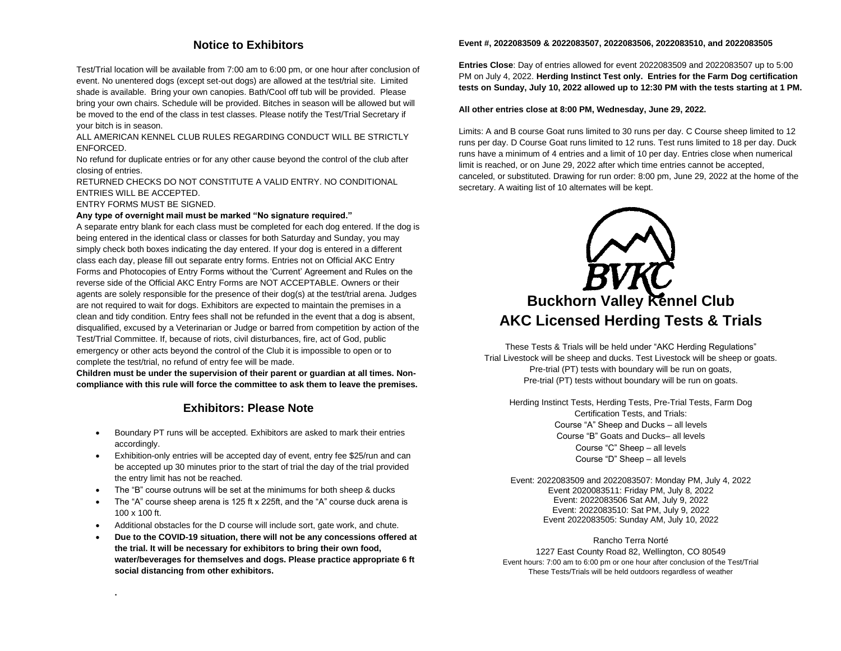# **Notice to Exhibitors**

Test/Trial location will be available from 7:00 am to 6:00 pm, or one hour after conclusion of event. No unentered dogs (except set-out dogs) are allowed at the test/trial site. Limited shade is available. Bring your own canopies. Bath/Cool off tub will be provided. Please bring your own chairs. Schedule will be provided. Bitches in season will be allowed but will be moved to the end of the class in test classes. Please notify the Test/Trial Secretary if your bitch is in season.

ALL AMERICAN KENNEL CLUB RULES REGARDING CONDUCT WILL BE STRICTLY ENFORCED.

No refund for duplicate entries or for any other cause beyond the control of the club after closing of entries.

RETURNED CHECKS DO NOT CONSTITUTE A VALID ENTRY. NO CONDITIONAL ENTRIES WILL BE ACCEPTED.

ENTRY FORMS MUST BE SIGNED.

**.** 

#### **Any type of overnight mail must be marked "No signature required."**

A separate entry blank for each class must be completed for each dog entered. If the dog is being entered in the identical class or classes for both Saturday and Sunday, you may simply check both boxes indicating the day entered. If your dog is entered in a different class each day, please fill out separate entry forms. Entries not on Official AKC Entry Forms and Photocopies of Entry Forms without the 'Current' Agreement and Rules on the reverse side of the Official AKC Entry Forms are NOT ACCEPTABLE. Owners or their agents are solely responsible for the presence of their dog(s) at the test/trial arena. Judges are not required to wait for dogs. Exhibitors are expected to maintain the premises in a clean and tidy condition. Entry fees shall not be refunded in the event that a dog is absent, disqualified, excused by a Veterinarian or Judge or barred from competition by action of the Test/Trial Committee. If, because of riots, civil disturbances, fire, act of God, public emergency or other acts beyond the control of the Club it is impossible to open or to complete the test/trial, no refund of entry fee will be made.

**Children must be under the supervision of their parent or guardian at all times. Noncompliance with this rule will force the committee to ask them to leave the premises.**

# **Exhibitors: Please Note**

- Boundary PT runs will be accepted. Exhibitors are asked to mark their entries accordingly.
- Exhibition-only entries will be accepted day of event, entry fee \$25/run and can be accepted up 30 minutes prior to the start of trial the day of the trial provided the entry limit has not be reached.
- The "B" course outruns will be set at the minimums for both sheep & ducks
- The "A" course sheep arena is 125 ft x 225ft, and the "A" course duck arena is 100 x 100 ft.
- Additional obstacles for the D course will include sort, gate work, and chute.
- **Due to the COVID-19 situation, there will not be any concessions offered at the trial. It will be necessary for exhibitors to bring their own food, water/beverages for themselves and dogs. Please practice appropriate 6 ft social distancing from other exhibitors.**

#### **Event #, 2022083509 & 2022083507, 2022083506, 2022083510, and 2022083505**

**Entries Close**: Day of entries allowed for event 2022083509 and 2022083507 up to 5:00 PM on July 4, 2022. **Herding Instinct Test only. Entries for the Farm Dog certification tests on Sunday, July 10, 2022 allowed up to 12:30 PM with the tests starting at 1 PM.**

#### **All other entries close at 8:00 PM, Wednesday, June 29, 2022.**

Limits: A and B course Goat runs limited to 30 runs per day. C Course sheep limited to 12 runs per day. D Course Goat runs limited to 12 runs. Test runs limited to 18 per day. Duck runs have a minimum of 4 entries and a limit of 10 per day. Entries close when numerical limit is reached, or on June 29, 2022 after which time entries cannot be accepted, canceled, or substituted. Drawing for run order: 8:00 pm, June 29, 2022 at the home of the secretary. A waiting list of 10 alternates will be kept.



These Tests & Trials will be held under "AKC Herding Regulations" Trial Livestock will be sheep and ducks. Test Livestock will be sheep or goats. Pre-trial (PT) tests with boundary will be run on goats, Pre-trial (PT) tests without boundary will be run on goats.

Herding Instinct Tests, Herding Tests, Pre-Trial Tests, Farm Dog Certification Tests, and Trials: Course "A" Sheep and Ducks – all levels Course "B" Goats and Ducks– all levels Course "C" Sheep – all levels Course "D" Sheep – all levels

Event: 2022083509 and 2022083507: Monday PM, July 4, 2022 Event 2020083511: Friday PM, July 8, 2022 Event: 2022083506 Sat AM, July 9, 2022 Event: 2022083510: Sat PM, July 9, 2022 Event 2022083505: Sunday AM, July 10, 2022

Rancho Terra Norté 1227 East County Road 82, Wellington, CO 80549 Event hours: 7:00 am to 6:00 pm or one hour after conclusion of the Test/Trial These Tests/Trials will be held outdoors regardless of weather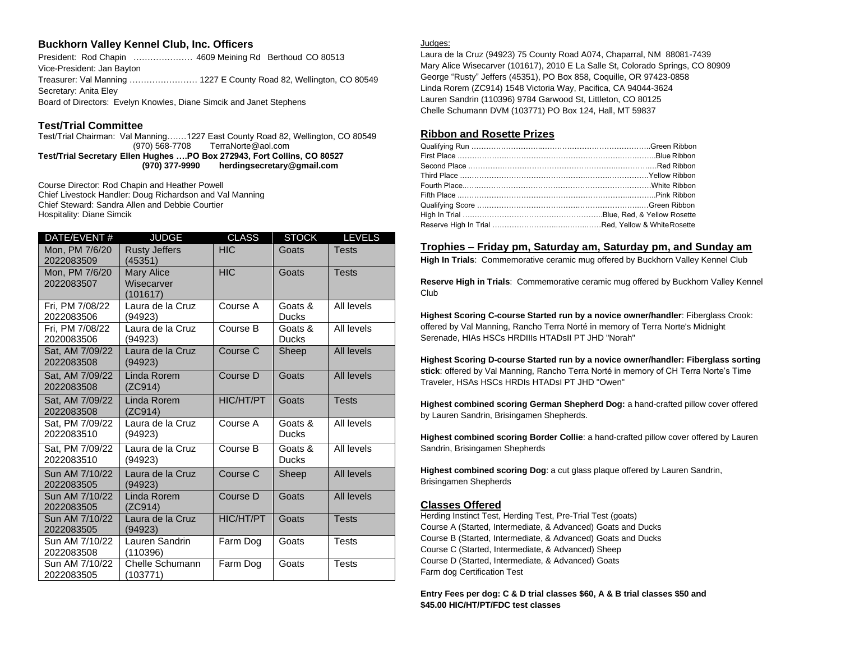### **Buckhorn Valley Kennel Club, Inc. Officers**

President: Rod Chapin .................... 4609 Meining Rd Berthoud CO 80513 Vice-President: Jan Bayton Treasurer: Val Manning …………………… 1227 E County Road 82, Wellington, CO 80549 Secretary: Anita Eley Board of Directors: Evelyn Knowles, Diane Simcik and Janet Stephens

#### **Test/Trial Committee**

Test/Trial Chairman: Val Manning….…1227 East County Road 82, Wellington, CO 80549 (970) 568-7708 TerraNorte@aol.com **Test/Trial Secretary Ellen Hughes ….PO Box 272943, Fort Collins, CO 80527 (970) 377-9990 herdingsecretary@gmail.com**

Course Director: Rod Chapin and Heather Powell Chief Livestock Handler: Doug Richardson and Val Manning Chief Steward: Sandra Allen and Debbie Courtier Hospitality: Diane Simcik

| DATE/EVENT#                   | <b>JUDGE</b>                                | CLASS      | <b>STOCK</b>            | <b>LEVELS</b> |  |  |  |
|-------------------------------|---------------------------------------------|------------|-------------------------|---------------|--|--|--|
| Mon, PM 7/6/20<br>2022083509  | <b>Rusty Jeffers</b><br>(45351)             | <b>HIC</b> | Goats                   | <b>Tests</b>  |  |  |  |
| Mon. PM 7/6/20<br>2022083507  | <b>Mary Alice</b><br>Wisecarver<br>(101617) | <b>HIC</b> | Goats                   | <b>Tests</b>  |  |  |  |
| Fri, PM 7/08/22<br>2022083506 | Laura de la Cruz<br>(94923)                 | Course A   | Goats &<br><b>Ducks</b> | All levels    |  |  |  |
| Fri. PM 7/08/22<br>2020083506 | Laura de la Cruz<br>(94923)                 | Course B   | Goats &<br><b>Ducks</b> | All levels    |  |  |  |
| Sat, AM 7/09/22<br>2022083508 | Laura de la Cruz<br>(94923)                 | Course C   | Sheep                   | All levels    |  |  |  |
| Sat. AM 7/09/22<br>2022083508 | Linda Rorem<br>(ZC914)                      | Course D   | Goats                   | All levels    |  |  |  |
| Sat. AM 7/09/22<br>2022083508 | Linda Rorem<br>(ZC914)                      | HIC/HT/PT  | Goats                   | <b>Tests</b>  |  |  |  |
| Sat. PM 7/09/22<br>2022083510 | Laura de la Cruz<br>(94923)                 | Course A   | Goats &<br><b>Ducks</b> | All levels    |  |  |  |
| Sat. PM 7/09/22<br>2022083510 | Laura de la Cruz<br>(94923)                 | Course B   | Goats &<br><b>Ducks</b> | All levels    |  |  |  |
| Sun AM 7/10/22<br>2022083505  | Laura de la Cruz<br>(94923)                 | Course C   | Sheep                   | All levels    |  |  |  |
| Sun AM 7/10/22<br>2022083505  | Linda Rorem<br>(ZC914)                      | Course D   | Goats                   | All levels    |  |  |  |
| Sun AM 7/10/22<br>2022083505  | Laura de la Cruz<br>(94923)                 | HIC/HT/PT  | Goats                   | <b>Tests</b>  |  |  |  |
| Sun AM 7/10/22<br>2022083508  | Lauren Sandrin<br>(110396)                  | Farm Dog   | Goats                   | <b>Tests</b>  |  |  |  |
| Sun AM 7/10/22<br>2022083505  | <b>Chelle Schumann</b><br>(103771)          | Farm Dog   | Goats                   | <b>Tests</b>  |  |  |  |

#### Judges:

Laura de la Cruz (94923) 75 County Road A074, Chaparral, NM 88081-7439 Mary Alice Wisecarver (101617), 2010 E La Salle St, Colorado Springs, CO 80909 George "Rusty" Jeffers (45351), PO Box 858, Coquille, OR 97423-0858 Linda Rorem (ZC914) 1548 Victoria Way, Pacifica, CA 94044-3624 Lauren Sandrin (110396) 9784 Garwood St, Littleton, CO 80125 Chelle Schumann DVM (103771) PO Box 124, Hall, MT 59837

# **Ribbon and Rosette Prizes**

| Fifth Place …………………………………………………………………………Pink Ribbon |  |
|-----------------------------------------------------|--|
|                                                     |  |
|                                                     |  |
|                                                     |  |

#### **Trophies – Friday pm, Saturday am, Saturday pm, and Sunday am**

**High In Trials**: Commemorative ceramic mug offered by Buckhorn Valley Kennel Club

**Reserve High in Trials**: Commemorative ceramic mug offered by Buckhorn Valley Kennel Club

**Highest Scoring C-course Started run by a novice owner/handler**: Fiberglass Crook: offered by Val Manning, Rancho Terra Norté in memory of Terra Norte's Midnight Serenade, HIAs HSCs HRDIIIs HTADsII PT JHD "Norah"

**Highest Scoring D-course Started run by a novice owner/handler: Fiberglass sorting stick**: offered by Val Manning, Rancho Terra Norté in memory of CH Terra Norte's Time Traveler, HSAs HSCs HRDIs HTADsI PT JHD "Owen"

**Highest combined scoring German Shepherd Dog:** a hand-crafted pillow cover offered by Lauren Sandrin, Brisingamen Shepherds.

**Highest combined scoring Border Collie**: a hand-crafted pillow cover offered by Lauren Sandrin, Brisingamen Shepherds

**Highest combined scoring Dog**: a cut glass plaque offered by Lauren Sandrin, Brisingamen Shepherds

#### **Classes Offered**

Herding Instinct Test, Herding Test, Pre-Trial Test (goats) Course A (Started, Intermediate, & Advanced) Goats and Ducks Course B (Started, Intermediate, & Advanced) Goats and Ducks Course C (Started, Intermediate, & Advanced) Sheep Course D (Started, Intermediate, & Advanced) Goats Farm dog Certification Test

#### **Entry Fees per dog: C & D trial classes \$60, A & B trial classes \$50 and \$45.00 HIC/HT/PT/FDC test classes**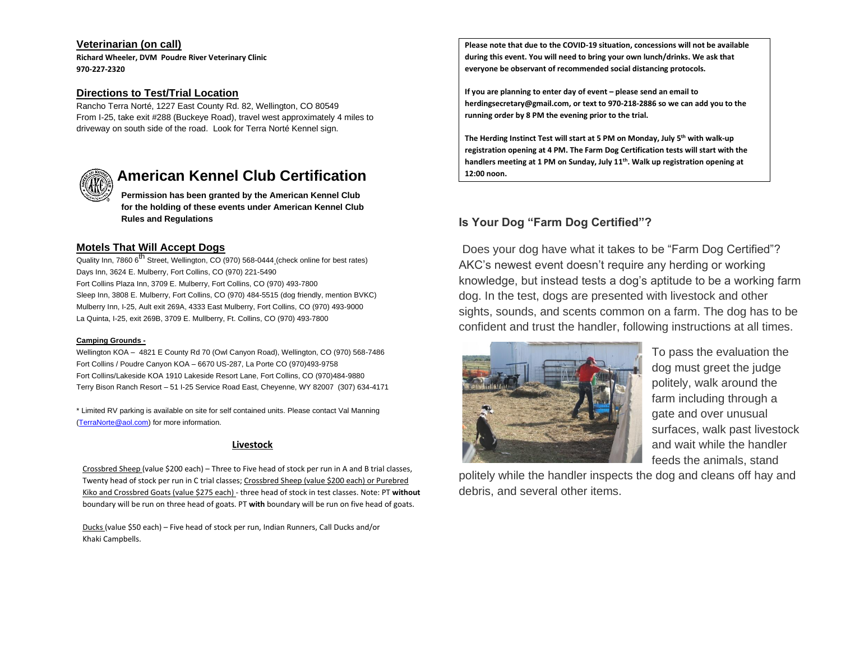### **Veterinarian (on call)**

**Richard Wheeler, DVM Poudre River Veterinary Clinic 970-227-2320**

# **Directions to Test/Trial Location**

Rancho Terra Norté, 1227 East County Rd. 82, Wellington, CO 80549 From I-25, take exit #288 (Buckeye Road), travel west approximately 4 miles to driveway on south side of the road. Look for Terra Norté Kennel sign.



# **American Kennel Club Certification**

**Permission has been granted by the American Kennel Club for the holding of these events under American Kennel Club Rules and Regulations**

# **Motels That Will Accept Dogs**

Quality Inn, 7860 6<sup>th</sup> Street, Wellington, CO (970) 568-0444 (check online for best rates) Days Inn, 3624 E. Mulberry, Fort Collins, CO (970) 221-5490 Fort Collins Plaza Inn, 3709 E. Mulberry, Fort Collins, CO (970) 493-7800 Sleep Inn, 3808 E. Mulberry, Fort Collins, CO (970) 484-5515 (dog friendly, mention BVKC) Mulberry Inn, I-25, Ault exit 269A, 4333 East Mulberry, Fort Collins, CO (970) 493-9000 La Quinta, I-25, exit 269B, 3709 E. Mullberry, Ft. Collins, CO (970) 493-7800

#### **Camping Grounds -**

Wellington KOA – 4821 E County Rd 70 (Owl Canyon Road), Wellington, CO (970) 568-7486 Fort Collins / Poudre Canyon KOA – 6670 US-287, La Porte CO (970)493-9758 Fort Collins/Lakeside KOA 1910 Lakeside Resort Lane, Fort Collins, CO (970)484-9880 Terry Bison Ranch Resort – 51 I-25 Service Road East, Cheyenne, WY 82007 (307) 634-4171

\* Limited RV parking is available on site for self contained units. Please contact Val Manning [\(TerraNorte@aol.com\)](mailto:TerraNorte@aol.com) for more information.

# **Livestock**

Crossbred Sheep (value \$200 each) – Three to Five head of stock per run in A and B trial classes, Twenty head of stock per run in C trial classes; Crossbred Sheep (value \$200 each) or Purebred Kiko and Crossbred Goats (value \$275 each) - three head of stock in test classes. Note: PT **without**  boundary will be run on three head of goats. PT **with** boundary will be run on five head of goats.

Ducks (value \$50 each) – Five head of stock per run, Indian Runners, Call Ducks and/or Khaki Campbells.

**Please note that due to the COVID-19 situation, concessions will not be available during this event. You will need to bring your own lunch/drinks. We ask that everyone be observant of recommended social distancing protocols.** 

**If you are planning to enter day of event – please send an email to herdingsecretary@gmail.com, or text to 970-218-2886 so we can add you to the running order by 8 PM the evening prior to the trial.**

**The Herding Instinct Test will start at 5 PM on Monday, July 5 th with walk-up registration opening at 4 PM. The Farm Dog Certification tests will start with the handlers meeting at 1 PM on Sunday, July 11 th. Walk up registration opening at 12:00 noon.** 

# **Is Your Dog "Farm Dog Certified"?**

Does your dog have what it takes to be "Farm Dog Certified"? AKC's newest event doesn't require any herding or working knowledge, but instead tests a dog's aptitude to be a working farm dog. In the test, dogs are presented with livestock and other sights, sounds, and scents common on a farm. The dog has to be confident and trust the handler, following instructions at all times.



To pass the evaluation the dog must greet the judge politely, walk around the farm including through a gate and over unusual surfaces, walk past livestock and wait while the handler feeds the animals, stand

politely while the handler inspects the dog and cleans off hay and debris, and several other items.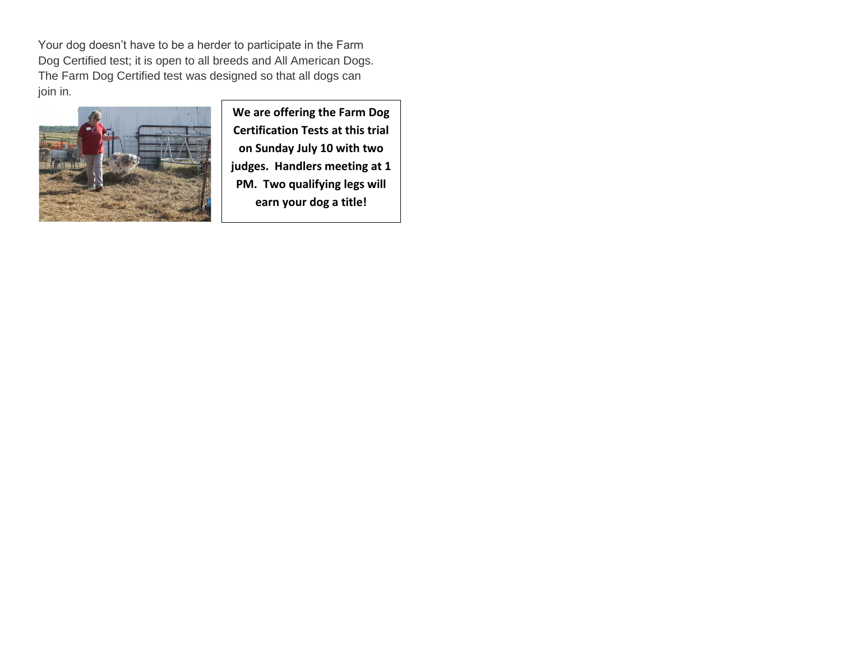Your dog doesn't have to be a herder to participate in the Farm Dog Certified test; it is open to all breeds and All American Dogs. The Farm Dog Certified test was designed so that all dogs can join in.



**We are offering the Farm Dog Certification Tests at this trial on Sunday July 10 with two judges. Handlers meeting at 1 PM. Two qualifying legs will earn your dog a title!**